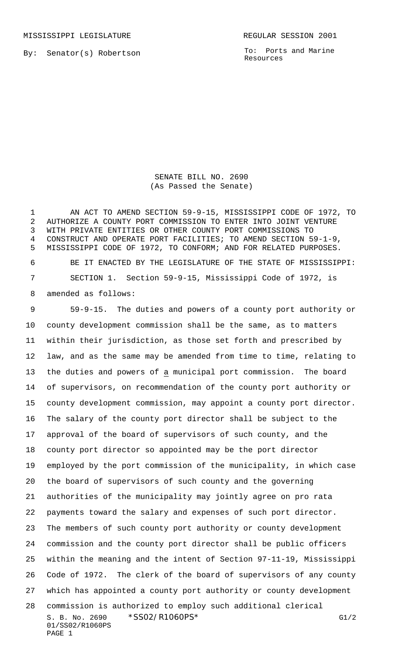By: Senator(s) Robertson

To: Ports and Marine Resources

SENATE BILL NO. 2690 (As Passed the Senate)

 AN ACT TO AMEND SECTION 59-9-15, MISSISSIPPI CODE OF 1972, TO AUTHORIZE A COUNTY PORT COMMISSION TO ENTER INTO JOINT VENTURE WITH PRIVATE ENTITIES OR OTHER COUNTY PORT COMMISSIONS TO CONSTRUCT AND OPERATE PORT FACILITIES; TO AMEND SECTION 59-1-9, MISSISSIPPI CODE OF 1972, TO CONFORM; AND FOR RELATED PURPOSES.

 BE IT ENACTED BY THE LEGISLATURE OF THE STATE OF MISSISSIPPI: SECTION 1. Section 59-9-15, Mississippi Code of 1972, is amended as follows:

S. B. No. 2690 \* SSO2/R1060PS\* G1/2 01/SS02/R1060PS 59-9-15. The duties and powers of a county port authority or county development commission shall be the same, as to matters within their jurisdiction, as those set forth and prescribed by law, and as the same may be amended from time to time, relating to the duties and powers of a municipal port commission. The board of supervisors, on recommendation of the county port authority or county development commission, may appoint a county port director. The salary of the county port director shall be subject to the approval of the board of supervisors of such county, and the county port director so appointed may be the port director employed by the port commission of the municipality, in which case the board of supervisors of such county and the governing authorities of the municipality may jointly agree on pro rata payments toward the salary and expenses of such port director. The members of such county port authority or county development commission and the county port director shall be public officers within the meaning and the intent of Section 97-11-19, Mississippi Code of 1972. The clerk of the board of supervisors of any county which has appointed a county port authority or county development commission is authorized to employ such additional clerical

```
PAGE 1
```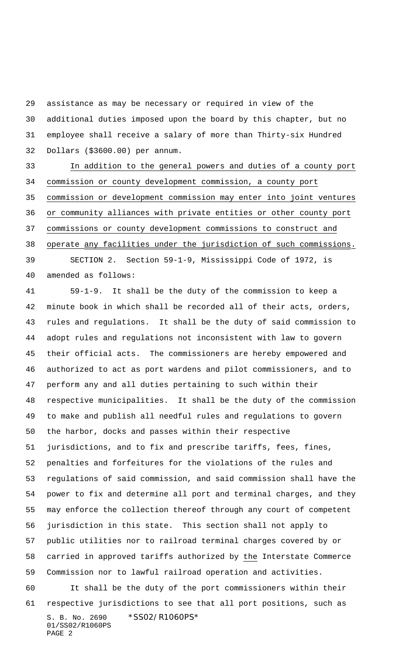assistance as may be necessary or required in view of the additional duties imposed upon the board by this chapter, but no employee shall receive a salary of more than Thirty-six Hundred Dollars (\$3600.00) per annum.

 In addition to the general powers and duties of a county port commission or county development commission, a county port commission or development commission may enter into joint ventures or community alliances with private entities or other county port commissions or county development commissions to construct and operate any facilities under the jurisdiction of such commissions. SECTION 2. Section 59-1-9, Mississippi Code of 1972, is

amended as follows:

S. B. No. 2690 \*SS02/R1060PS\* 01/SS02/R1060PS 59-1-9. It shall be the duty of the commission to keep a minute book in which shall be recorded all of their acts, orders, rules and regulations. It shall be the duty of said commission to adopt rules and regulations not inconsistent with law to govern their official acts. The commissioners are hereby empowered and authorized to act as port wardens and pilot commissioners, and to perform any and all duties pertaining to such within their respective municipalities. It shall be the duty of the commission to make and publish all needful rules and regulations to govern the harbor, docks and passes within their respective jurisdictions, and to fix and prescribe tariffs, fees, fines, penalties and forfeitures for the violations of the rules and regulations of said commission, and said commission shall have the power to fix and determine all port and terminal charges, and they may enforce the collection thereof through any court of competent jurisdiction in this state. This section shall not apply to public utilities nor to railroad terminal charges covered by or carried in approved tariffs authorized by the Interstate Commerce Commission nor to lawful railroad operation and activities. It shall be the duty of the port commissioners within their respective jurisdictions to see that all port positions, such as

PAGE 2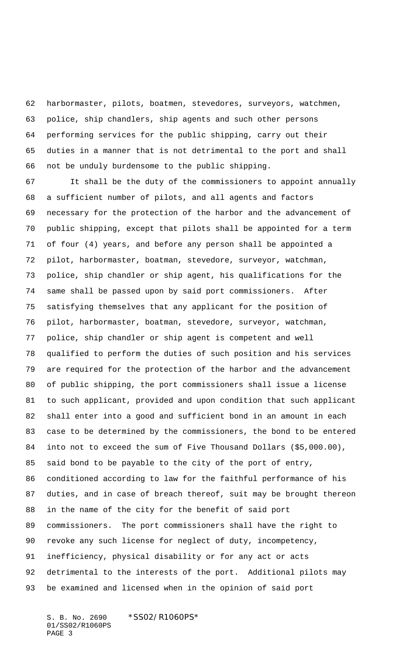harbormaster, pilots, boatmen, stevedores, surveyors, watchmen, police, ship chandlers, ship agents and such other persons performing services for the public shipping, carry out their duties in a manner that is not detrimental to the port and shall not be unduly burdensome to the public shipping.

 It shall be the duty of the commissioners to appoint annually a sufficient number of pilots, and all agents and factors necessary for the protection of the harbor and the advancement of public shipping, except that pilots shall be appointed for a term of four (4) years, and before any person shall be appointed a pilot, harbormaster, boatman, stevedore, surveyor, watchman, police, ship chandler or ship agent, his qualifications for the same shall be passed upon by said port commissioners. After satisfying themselves that any applicant for the position of pilot, harbormaster, boatman, stevedore, surveyor, watchman, police, ship chandler or ship agent is competent and well qualified to perform the duties of such position and his services are required for the protection of the harbor and the advancement of public shipping, the port commissioners shall issue a license to such applicant, provided and upon condition that such applicant shall enter into a good and sufficient bond in an amount in each case to be determined by the commissioners, the bond to be entered into not to exceed the sum of Five Thousand Dollars (\$5,000.00), said bond to be payable to the city of the port of entry, conditioned according to law for the faithful performance of his duties, and in case of breach thereof, suit may be brought thereon in the name of the city for the benefit of said port commissioners. The port commissioners shall have the right to revoke any such license for neglect of duty, incompetency, inefficiency, physical disability or for any act or acts detrimental to the interests of the port. Additional pilots may be examined and licensed when in the opinion of said port

S. B. No. 2690 \*SS02/R1060PS\* 01/SS02/R1060PS PAGE 3